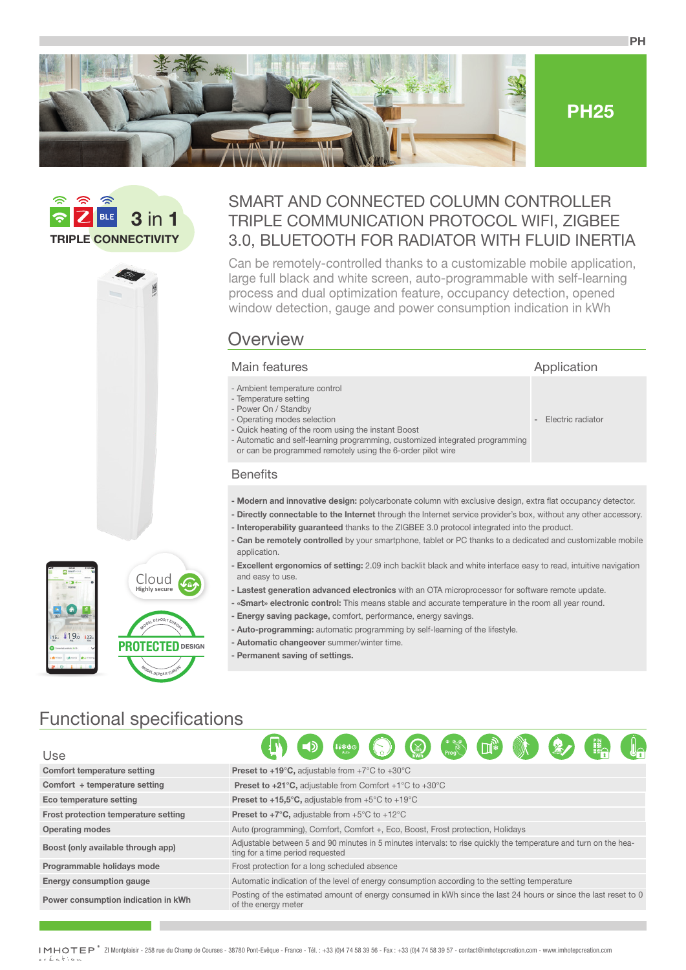





## SMART AND CONNECTED COLUMN CONTROLLER TRIPLE COMMUNICATION PROTOCOL WIFI, ZIGBEE 3.0, BLUETOOTH FOR RADIATOR WITH FLUID INERTIA

Can be remotely-controlled thanks to a customizable mobile application, large full black and white screen, auto-programmable with self-learning process and dual optimization feature, occupancy detection, opened window detection, gauge and power consumption indication in kWh

# **Overview**

#### Main features **Application**

- Ambient temperature control
- Temperature setting
- Power On / Standby
- Operating modes selection - Quick heating of the room using the instant Boost
- 
- Automatic and self-learning programming, customized integrated programming or can be programmed remotely using the 6-order pilot wire

### **Benefits**

- **Modern and innovative design:** polycarbonate column with exclusive design, extra flat occupancy detector.
- **Directly connectable to the Internet** through the Internet service provider's box, without any other accessory.

**-** Electric radiator

**PH**

- **Interoperability guaranteed** thanks to the ZIGBEE 3.0 protocol integrated into the product.
- **Can be remotely controlled** by your smartphone, tablet or PC thanks to a dedicated and customizable mobile application.
- **Excellent ergonomics of setting:** 2.09 inch backlit black and white interface easy to read, intuitive navigation and easy to use.
- **Lastest generation advanced electronics** with an OTA microprocessor for software remote update.
- **«Smart» electronic control:** This means stable and accurate temperature in the room all year round.
	- **Energy saving package,** comfort, performance, energy savings.
	- **Auto-programming:** automatic programming by self-learning of the lifestyle.
	- **Automatic changeover** summer/winter time.
	- **Permanent saving of settings.**

# Functional specifications

119.0 12

**Highly secure** Cloud

 $M$ <sup>ODEL</sup>
DEPOSITEUROPE

**PROTECTED DESIGN**

**<sup>M</sup>ODE<sup>L</sup> <sup>D</sup>EPOSI<sup>T</sup> <sup>E</sup>UROP<sup>E</sup>**

| Use                                  | $\mathbb{R}$ (iii) $\mathbb{C}$ (iii) $\mathbb{C}$ (iiiiii)<br><b>FA</b><br>会力                                                                       |
|--------------------------------------|------------------------------------------------------------------------------------------------------------------------------------------------------|
| Comfort temperature setting          | <b>Preset to +19°C, adjustable from +7°C to +30°C</b>                                                                                                |
| Comfort $+$ temperature setting      | <b>Preset to +21°C, adjustable from Comfort +1°C to +30°C</b>                                                                                        |
| Eco temperature setting              | <b>Preset to +15,5°C, adjustable from +5°C to +19°C</b>                                                                                              |
| Frost protection temperature setting | <b>Preset to +7°C, adjustable from +5°C to +12°C</b>                                                                                                 |
| <b>Operating modes</b>               | Auto (programming), Comfort, Comfort +, Eco, Boost, Frost protection, Holidays                                                                       |
| Boost (only available through app)   | Adjustable between 5 and 90 minutes in 5 minutes intervals: to rise quickly the temperature and turn on the hea-<br>ting for a time period requested |
| Programmable holidays mode           | Frost protection for a long scheduled absence                                                                                                        |
| <b>Energy consumption gauge</b>      | Automatic indication of the level of energy consumption according to the setting temperature                                                         |
| Power consumption indication in kWh  | Posting of the estimated amount of energy consumed in kWh since the last 24 hours or since the last reset to 0<br>of the energy meter                |

IMHOTEP® ZI Montplaisir - 258 rue du Champ de Courses - 38780 Pont-Evêque - France - Tél. : +33 (0)4 74 58 39 56 - Fax : +33 (0)4 74 58 39 57 - contact@imhotepcreation.com - www.imhotepcreation.com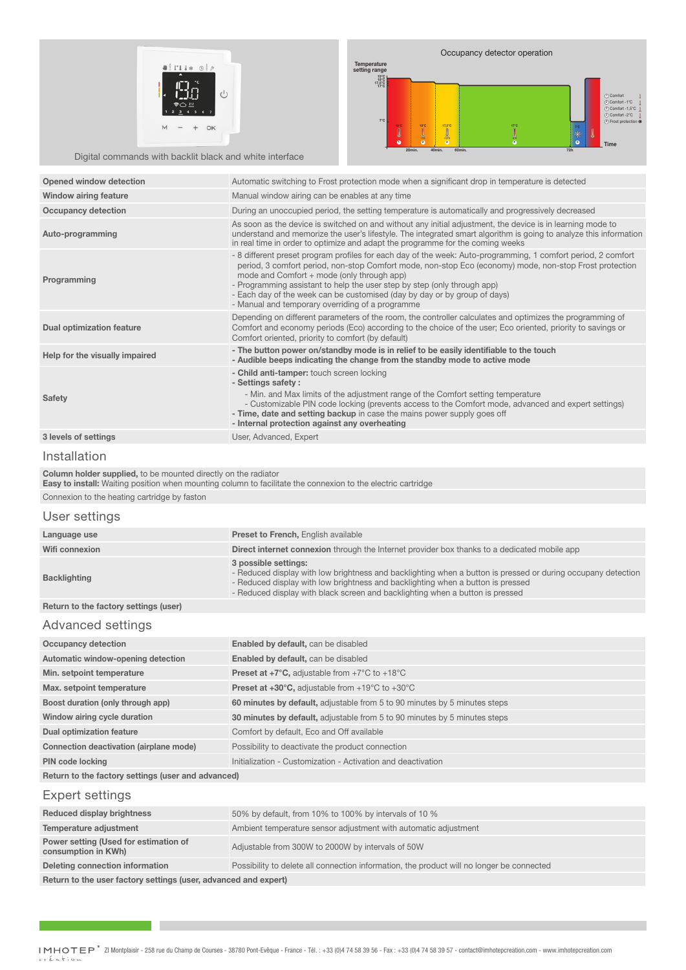



Digital commands with backlit black and white interface

| <b>Opened window detection</b>   | Automatic switching to Frost protection mode when a significant drop in temperature is detected                                                                                                                                                                                                                                                                                                                                                                                     |
|----------------------------------|-------------------------------------------------------------------------------------------------------------------------------------------------------------------------------------------------------------------------------------------------------------------------------------------------------------------------------------------------------------------------------------------------------------------------------------------------------------------------------------|
| Window airing feature            | Manual window airing can be enables at any time                                                                                                                                                                                                                                                                                                                                                                                                                                     |
| <b>Occupancy detection</b>       | During an unoccupied period, the setting temperature is automatically and progressively decreased                                                                                                                                                                                                                                                                                                                                                                                   |
| Auto-programming                 | As soon as the device is switched on and without any initial adjustment, the device is in learning mode to<br>understand and memorize the user's lifestyle. The integrated smart algorithm is going to analyze this information<br>in real time in order to optimize and adapt the programme for the coming weeks                                                                                                                                                                   |
| Programming                      | - 8 different preset program profiles for each day of the week: Auto-programming, 1 comfort period, 2 comfort<br>period, 3 comfort period, non-stop Comfort mode, non-stop Eco (economy) mode, non-stop Frost protection<br>mode and Comfort + mode (only through app)<br>- Programming assistant to help the user step by step (only through app)<br>- Each day of the week can be customised (day by day or by group of days)<br>- Manual and temporary overriding of a programme |
| <b>Dual optimization feature</b> | Depending on different parameters of the room, the controller calculates and optimizes the programming of<br>Comfort and economy periods (Eco) according to the choice of the user; Eco oriented, priority to savings or<br>Comfort oriented, priority to comfort (by default)                                                                                                                                                                                                      |
| Help for the visually impaired   | - The button power on/standby mode is in relief to be easily identifiable to the touch<br>- Audible beeps indicating the change from the standby mode to active mode                                                                                                                                                                                                                                                                                                                |
| <b>Safety</b>                    | - Child anti-tamper: touch screen locking<br>- Settings safety:<br>- Min. and Max limits of the adjustment range of the Comfort setting temperature<br>- Customizable PIN code locking (prevents access to the Comfort mode, advanced and expert settings)<br>- Time, date and setting backup in case the mains power supply goes off<br>- Internal protection against any overheating                                                                                              |
| 3 levels of settings             | User, Advanced, Expert                                                                                                                                                                                                                                                                                                                                                                                                                                                              |

#### Installation

**Column holder supplied,** to be mounted directly on the radiator

**Easy to install:** Waiting position when mounting column to facilitate the connexion to the electric cartridge

Connexion to the heating cartridge by faston

#### User settings

| Language use                          | <b>Preset to French, English available</b>                                                                                                                                                                                                                                                               |
|---------------------------------------|----------------------------------------------------------------------------------------------------------------------------------------------------------------------------------------------------------------------------------------------------------------------------------------------------------|
| Wifi connexion                        | <b>Direct internet connexion</b> through the Internet provider box thanks to a dedicated mobile app                                                                                                                                                                                                      |
| <b>Backlighting</b>                   | 3 possible settings:<br>- Reduced display with low brightness and backlighting when a button is pressed or during occupany detection<br>- Reduced display with low brightness and backlighting when a button is pressed<br>- Reduced display with black screen and backlighting when a button is pressed |
| Return to the factory settings (user) |                                                                                                                                                                                                                                                                                                          |
|                                       |                                                                                                                                                                                                                                                                                                          |

## Advanced settings

| Occupancy detection                     | <b>Enabled by default, can be disabled</b>                                |
|-----------------------------------------|---------------------------------------------------------------------------|
| Automatic window-opening detection      | <b>Enabled by default, can be disabled</b>                                |
| Min. setpoint temperature               | <b>Preset at +7°C, adjustable from +7°C to +18°C</b>                      |
| Max. setpoint temperature               | <b>Preset at +30°C, adjustable from +19°C to +30°C</b>                    |
| Boost duration (only through app)       | 60 minutes by default, adjustable from 5 to 90 minutes by 5 minutes steps |
| Window airing cycle duration            | 30 minutes by default, adjustable from 5 to 90 minutes by 5 minutes steps |
| <b>Dual optimization feature</b>        | Comfort by default, Eco and Off available                                 |
| Connection deactivation (airplane mode) | Possibility to deactivate the product connection                          |
| PIN code locking                        | Initialization - Customization - Activation and deactivation              |
|                                         |                                                                           |

**Return to the factory settings (user and advanced)**

### Expert settings

| Reduced display brightness                                      | 50% by default, from 10% to 100% by intervals of 10 %                                     |  |
|-----------------------------------------------------------------|-------------------------------------------------------------------------------------------|--|
| Temperature adjustment                                          | Ambient temperature sensor adjustment with automatic adjustment                           |  |
| Power setting (Used for estimation of<br>consumption in KWh)    | Adjustable from 300W to 2000W by intervals of 50W                                         |  |
| Deleting connection information                                 | Possibility to delete all connection information, the product will no longer be connected |  |
| Return to the user factory settings (user, advanced and expert) |                                                                                           |  |

**Return to the user factory settings (user, advanced and expert)**